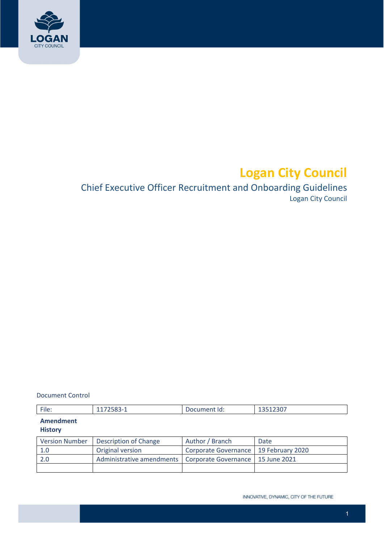

# **Logan City Council**

# Chief Executive Officer Recruitment and Onboarding Guidelines Logan City Council

#### Document Control

| $- \cdot \cdot$<br>File: | $11/2002 - 1$ | . .<br>.<br>Document id: | $2000 -$<br>TOOTZJUI |
|--------------------------|---------------|--------------------------|----------------------|

#### **Amendment History**

| <b>Version Number</b> | Description of Change                                           | Author / Branch                         | Date |
|-----------------------|-----------------------------------------------------------------|-----------------------------------------|------|
| 1.0                   | Original version                                                | Corporate Governance   19 February 2020 |      |
| -2.0                  | Administrative amendments   Corporate Governance   15 June 2021 |                                         |      |
|                       |                                                                 |                                         |      |

INNOVATIVE, DYNAMIC, CITY OF THE FUTURE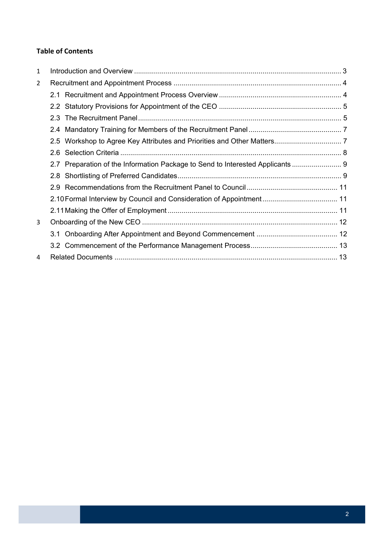## **Table of Contents**

| 2.6                                                                            |  |
|--------------------------------------------------------------------------------|--|
| 2.7 Preparation of the Information Package to Send to Interested Applicants  9 |  |
|                                                                                |  |
|                                                                                |  |
|                                                                                |  |
|                                                                                |  |
|                                                                                |  |
|                                                                                |  |
|                                                                                |  |
|                                                                                |  |
|                                                                                |  |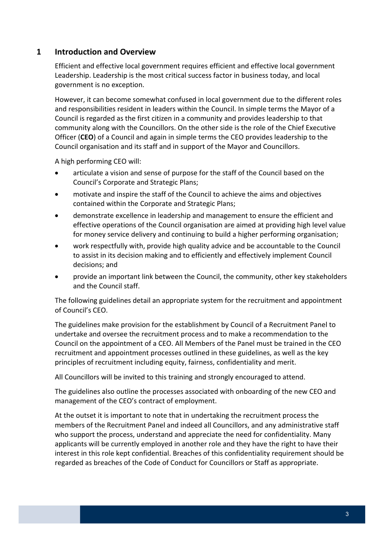# <span id="page-2-0"></span> **1 Introduction and Overview**

 Efficient and effective local government requires efficient and effective local government Leadership. Leadership is the most critical success factor in business today, and local government is no exception.

 However, it can become somewhat confused in local government due to the different roles and responsibilities resident in leaders within the Council. In simple terms the Mayor of a Council is regarded as the first citizen in a community and provides leadership to that community along with the Councillors. On the other side is the role of the Chief Executive Officer (**CEO**) of a Council and again in simple terms the CEO provides leadership to the Council organisation and its staff and in support of the Mayor and Councillors.

A high performing CEO will:

- articulate a vision and sense of purpose for the staff of the Council based on the Council's Corporate and Strategic Plans;
- motivate and inspire the staff of the Council to achieve the aims and objectives contained within the Corporate and Strategic Plans;
- demonstrate excellence in leadership and management to ensure the efficient and effective operations of the Council organisation are aimed at providing high level value for money service delivery and continuing to build a higher performing organisation;
- work respectfully with, provide high quality advice and be accountable to the Council to assist in its decision making and to efficiently and effectively implement Council decisions; and
- provide an important link between the Council, the community, other key stakeholders and the Council staff.

 The following guidelines detail an appropriate system for the recruitment and appointment of Council's CEO.

 The guidelines make provision for the establishment by Council of a Recruitment Panel to undertake and oversee the recruitment process and to make a recommendation to the Council on the appointment of a CEO. All Members of the Panel must be trained in the CEO recruitment and appointment processes outlined in these guidelines, as well as the key principles of recruitment including equity, fairness, confidentiality and merit.

All Councillors will be invited to this training and strongly encouraged to attend.

 The guidelines also outline the processes associated with onboarding of the new CEO and management of the CEO's contract of employment.

 At the outset it is important to note that in undertaking the recruitment process the members of the Recruitment Panel and indeed all Councillors, and any administrative staff who support the process, understand and appreciate the need for confidentiality. Many applicants will be currently employed in another role and they have the right to have their interest in this role kept confidential. Breaches of this confidentiality requirement should be regarded as breaches of the Code of Conduct for Councillors or Staff as appropriate.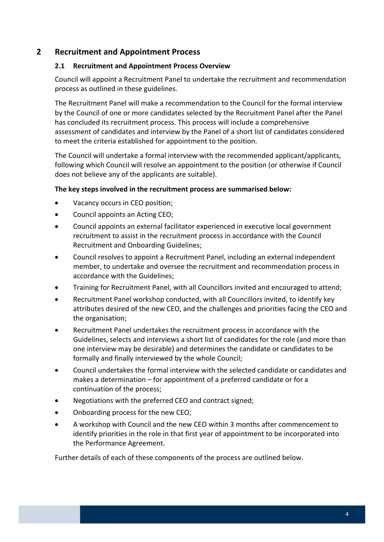# <span id="page-3-0"></span> **2 Recruitment and Appointment Process**

## **2.1 Recruitment and Appointment Process Overview**

 Council will appoint a Recruitment Panel to undertake the recruitment and recommendation process as outlined in these guidelines.

 The Recruitment Panel will make a recommendation to the Council for the formal interview by the Council of one or more candidates selected by the Recruitment Panel after the Panel has concluded its recruitment process. This process will include a comprehensive assessment of candidates and interview by the Panel of a short list of candidates considered to meet the criteria established for appointment to the position.

 The Council will undertake a formal interview with the recommended applicant/applicants, following which Council will resolve an appointment to the position (or otherwise if Council does not believe any of the applicants are suitable).

#### **The key steps involved in the recruitment process are summarised below:**

- Vacancy occurs in CEO position;
- Council appoints an Acting CEO;
- Council appoints an external facilitator experienced in executive local government recruitment to assist in the recruitment process in accordance with the Council Recruitment and Onboarding Guidelines;
- Council resolves to appoint a Recruitment Panel, including an external independent member, to undertake and oversee the recruitment and recommendation process in accordance with the Guidelines;
- Training for Recruitment Panel, with all Councillors invited and encouraged to attend;
- Recruitment Panel workshop conducted, with all Councillors invited, to identify key attributes desired of the new CEO, and the challenges and priorities facing the CEO and the organisation;
- Recruitment Panel undertakes the recruitment process in accordance with the Guidelines, selects and interviews a short list of candidates for the role (and more than one interview may be desirable) and determines the candidate or candidates to be formally and finally interviewed by the whole Council;
- Council undertakes the formal interview with the selected candidate or candidates and makes a determination – for appointment of a preferred candidate or for a continuation of the process;
- Negotiations with the preferred CEO and contract signed;
- Onboarding process for the new CEO;
- A workshop with Council and the new CEO within 3 months after commencement to identify priorities in the role in that first year of appointment to be incorporated into the Performance Agreement.

Further details of each of these components of the process are outlined below.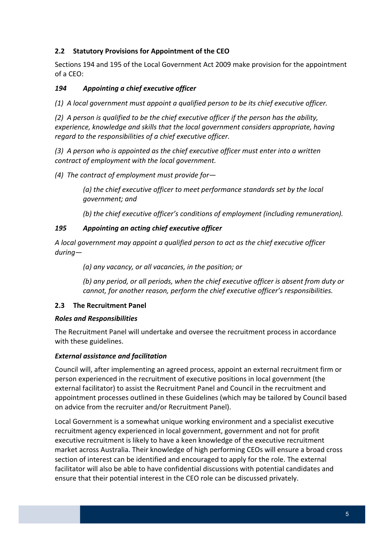## <span id="page-4-0"></span> **2.2 Statutory Provisions for Appointment of the CEO**

 Sections 194 and 195 of the Local Government Act 2009 make provision for the appointment of a CEO:

## *194 Appointing a chief executive officer*

(1) A local government must appoint a qualified person to be its chief executive officer.

(2) A person is qualified to be the chief executive officer if the person has the ability,  *experience, knowledge and skills that the local government considers appropriate, having regard to the responsibilities of a chief executive officer.*

(3) A person who is appointed as the chief executive officer must enter into a written  *contract of employment with the local government.*

 *(4) The contract of employment must provide for—*

 *(a) the chief executive officer to meet performance standards set by the local government; and*

 *(b) the chief executive officer's conditions of employment (including remuneration).*

## *195 Appointing an acting chief executive officer*

A local government may appoint a qualified person to act as the chief executive officer *during—*

 *(a) any vacancy, or all vacancies, in the position; or*

(b) any period, or all periods, when the chief executive officer is absent from duty or  *cannot, for another reason, perform the chief executive officer's responsibilities.*

## **2.3 The Recruitment Panel**

## *Roles and Responsibilities*

 The Recruitment Panel will undertake and oversee the recruitment process in accordance with these guidelines.

## *External assistance and facilitation*

 Council will, after implementing an agreed process, appoint an external recruitment firm or person experienced in the recruitment of executive positions in local government (the external facilitator) to assist the Recruitment Panel and Council in the recruitment and appointment processes outlined in these Guidelines (which may be tailored by Council based on advice from the recruiter and/or Recruitment Panel).

 Local Government is a somewhat unique working environment and a specialist executive recruitment agency experienced in local government, government and not for profit executive recruitment is likely to have a keen knowledge of the executive recruitment market across Australia. Their knowledge of high performing CEOs will ensure a broad cross section of interest can be identified and encouraged to apply for the role. The external facilitator will also be able to have confidential discussions with potential candidates and ensure that their potential interest in the CEO role can be discussed privately.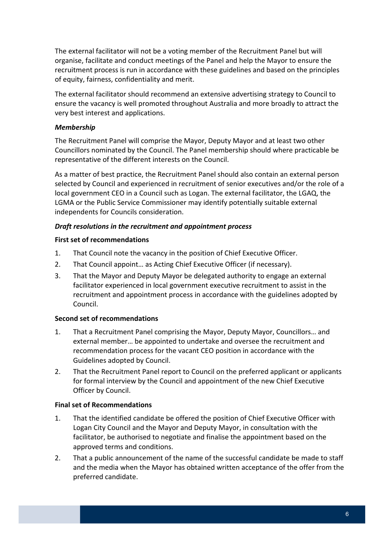The external facilitator will not be a voting member of the Recruitment Panel but will organise, facilitate and conduct meetings of the Panel and help the Mayor to ensure the recruitment process is run in accordance with these guidelines and based on the principles of equity, fairness, confidentiality and merit.

 The external facilitator should recommend an extensive advertising strategy to Council to ensure the vacancy is well promoted throughout Australia and more broadly to attract the very best interest and applications.

#### *Membership*

 The Recruitment Panel will comprise the Mayor, Deputy Mayor and at least two other Councillors nominated by the Council. The Panel membership should where practicable be representative of the different interests on the Council.

 As a matter of best practice, the Recruitment Panel should also contain an external person selected by Council and experienced in recruitment of senior executives and/or the role of a local government CEO in a Council such as Logan. The external facilitator, the LGAQ, the LGMA or the Public Service Commissioner may identify potentially suitable external independents for Councils consideration.

#### *Draft resolutions in the recruitment and appointment process*

#### **First set of recommendations**

- 1. That Council note the vacancy in the position of Chief Executive Officer.
- 2. That Council appoint… as Acting Chief Executive Officer (if necessary).
- 3. That the Mayor and Deputy Mayor be delegated authority to engage an external facilitator experienced in local government executive recruitment to assist in the recruitment and appointment process in accordance with the guidelines adopted by Council.

## **Second set of recommendations**

- 1. That a Recruitment Panel comprising the Mayor, Deputy Mayor, Councillors… and external member… be appointed to undertake and oversee the recruitment and recommendation process for the vacant CEO position in accordance with the Guidelines adopted by Council.
- 2. That the Recruitment Panel report to Council on the preferred applicant or applicants for formal interview by the Council and appointment of the new Chief Executive Officer by Council.

## **Final set of Recommendations**

- 1. That the identified candidate be offered the position of Chief Executive Officer with Logan City Council and the Mayor and Deputy Mayor, in consultation with the facilitator, be authorised to negotiate and finalise the appointment based on the approved terms and conditions.
- 2. That a public announcement of the name of the successful candidate be made to staff and the media when the Mayor has obtained written acceptance of the offer from the preferred candidate.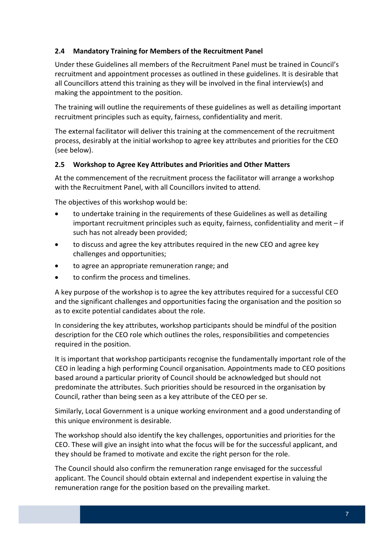## <span id="page-6-0"></span> **2.4 Mandatory Training for Members of the Recruitment Panel**

 Under these Guidelines all members of the Recruitment Panel must be trained in Council's recruitment and appointment processes as outlined in these guidelines. It is desirable that all Councillors attend this training as they will be involved in the final interview(s) and making the appointment to the position.

 The training will outline the requirements of these guidelines as well as detailing important recruitment principles such as equity, fairness, confidentiality and merit.

 The external facilitator will deliver this training at the commencement of the recruitment process, desirably at the initial workshop to agree key attributes and priorities for the CEO (see below).

#### **2.5 Workshop to Agree Key Attributes and Priorities and Other Matters**

 At the commencement of the recruitment process the facilitator will arrange a workshop with the Recruitment Panel, with all Councillors invited to attend.

The objectives of this workshop would be:

- to undertake training in the requirements of these Guidelines as well as detailing important recruitment principles such as equity, fairness, confidentiality and merit – if such has not already been provided;
- to discuss and agree the key attributes required in the new CEO and agree key challenges and opportunities;
- to agree an appropriate remuneration range; and
- to confirm the process and timelines.

 A key purpose of the workshop is to agree the key attributes required for a successful CEO and the significant challenges and opportunities facing the organisation and the position so as to excite potential candidates about the role.

 In considering the key attributes, workshop participants should be mindful of the position description for the CEO role which outlines the roles, responsibilities and competencies required in the position.

 It is important that workshop participants recognise the fundamentally important role of the CEO in leading a high performing Council organisation. Appointments made to CEO positions based around a particular priority of Council should be acknowledged but should not predominate the attributes. Such priorities should be resourced in the organisation by Council, rather than being seen as a key attribute of the CEO per se.

 Similarly, Local Government is a unique working environment and a good understanding of this unique environment is desirable.

 The workshop should also identify the key challenges, opportunities and priorities for the CEO. These will give an insight into what the focus will be for the successful applicant, and they should be framed to motivate and excite the right person for the role.

 The Council should also confirm the remuneration range envisaged for the successful applicant. The Council should obtain external and independent expertise in valuing the remuneration range for the position based on the prevailing market.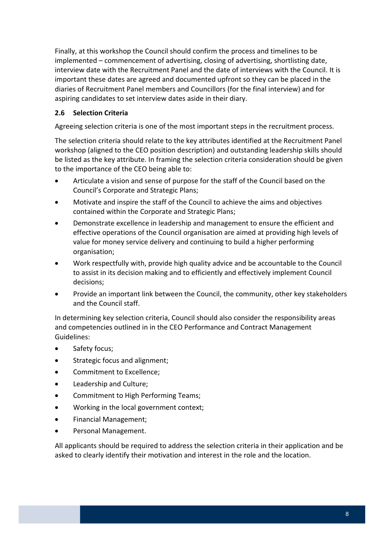<span id="page-7-0"></span> Finally, at this workshop the Council should confirm the process and timelines to be implemented – commencement of advertising, closing of advertising, shortlisting date, interview date with the Recruitment Panel and the date of interviews with the Council. It is important these dates are agreed and documented upfront so they can be placed in the diaries of Recruitment Panel members and Councillors (for the final interview) and for aspiring candidates to set interview dates aside in their diary.

## **2.6 Selection Criteria**

Agreeing selection criteria is one of the most important steps in the recruitment process.

 The selection criteria should relate to the key attributes identified at the Recruitment Panel workshop (aligned to the CEO position description) and outstanding leadership skills should be listed as the key attribute. In framing the selection criteria consideration should be given to the importance of the CEO being able to:

- Articulate a vision and sense of purpose for the staff of the Council based on the Council's Corporate and Strategic Plans;
- Motivate and inspire the staff of the Council to achieve the aims and objectives contained within the Corporate and Strategic Plans;
- Demonstrate excellence in leadership and management to ensure the efficient and effective operations of the Council organisation are aimed at providing high levels of value for money service delivery and continuing to build a higher performing organisation;
- Work respectfully with, provide high quality advice and be accountable to the Council to assist in its decision making and to efficiently and effectively implement Council decisions;
- Provide an important link between the Council, the community, other key stakeholders and the Council staff.

 In determining key selection criteria, Council should also consider the responsibility areas and competencies outlined in in the CEO Performance and Contract Management Guidelines:

- Safety focus;
- **•** Strategic focus and alignment;
- **•** Commitment to Excellence;
- Leadership and Culture;
- Commitment to High Performing Teams;
- Working in the local government context;
- Financial Management;
- Personal Management.

 All applicants should be required to address the selection criteria in their application and be asked to clearly identify their motivation and interest in the role and the location.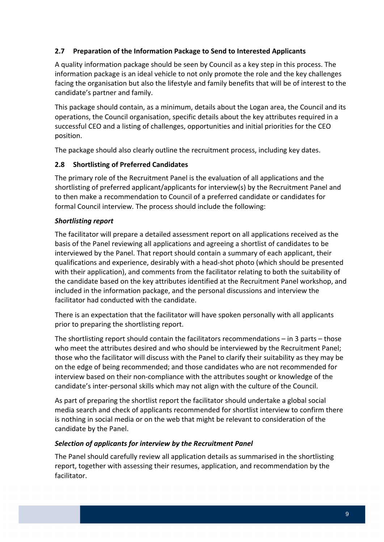## <span id="page-8-0"></span> **2.7 Preparation of the Information Package to Send to Interested Applicants**

 A quality information package should be seen by Council as a key step in this process. The information package is an ideal vehicle to not only promote the role and the key challenges facing the organisation but also the lifestyle and family benefits that will be of interest to the candidate's partner and family.

 This package should contain, as a minimum, details about the Logan area, the Council and its operations, the Council organisation, specific details about the key attributes required in a successful CEO and a listing of challenges, opportunities and initial priorities for the CEO position.

The package should also clearly outline the recruitment process, including key dates.

## **2.8 Shortlisting of Preferred Candidates**

 The primary role of the Recruitment Panel is the evaluation of all applications and the shortlisting of preferred applicant/applicants for interview(s) by the Recruitment Panel and to then make a recommendation to Council of a preferred candidate or candidates for formal Council interview. The process should include the following:

## *Shortlisting report*

 The facilitator will prepare a detailed assessment report on all applications received as the basis of the Panel reviewing all applications and agreeing a shortlist of candidates to be interviewed by the Panel. That report should contain a summary of each applicant, their qualifications and experience, desirably with a head‐shot photo (which should be presented with their application), and comments from the facilitator relating to both the suitability of the candidate based on the key attributes identified at the Recruitment Panel workshop, and included in the information package, and the personal discussions and interview the facilitator had conducted with the candidate.

 There is an expectation that the facilitator will have spoken personally with all applicants prior to preparing the shortlisting report.

 The shortlisting report should contain the facilitators recommendations – in 3 parts – those who meet the attributes desired and who should be interviewed by the Recruitment Panel; those who the facilitator will discuss with the Panel to clarify their suitability as they may be on the edge of being recommended; and those candidates who are not recommended for interview based on their non‐compliance with the attributes sought or knowledge of the candidate's inter‐personal skills which may not align with the culture of the Council.

 As part of preparing the shortlist report the facilitator should undertake a global social media search and check of applicants recommended for shortlist interview to confirm there is nothing in social media or on the web that might be relevant to consideration of the candidate by the Panel.

#### *Selection of applicants for interview by the Recruitment Panel*

 The Panel should carefully review all application details as summarised in the shortlisting report, together with assessing their resumes, application, and recommendation by the facilitator.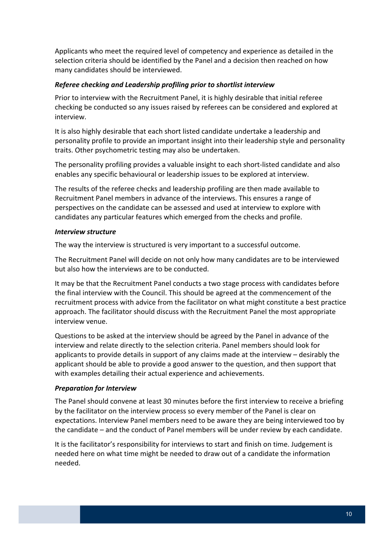Applicants who meet the required level of competency and experience as detailed in the selection criteria should be identified by the Panel and a decision then reached on how many candidates should be interviewed.

#### *Referee checking and Leadership profiling prior to shortlist interview*

 Prior to interview with the Recruitment Panel, it is highly desirable that initial referee checking be conducted so any issues raised by referees can be considered and explored at interview.

 It is also highly desirable that each short listed candidate undertake a leadership and personality profile to provide an important insight into their leadership style and personality traits. Other psychometric testing may also be undertaken.

 The personality profiling provides a valuable insight to each short‐listed candidate and also enables any specific behavioural or leadership issues to be explored at interview.

 The results of the referee checks and leadership profiling are then made available to Recruitment Panel members in advance of the interviews. This ensures a range of perspectives on the candidate can be assessed and used at interview to explore with candidates any particular features which emerged from the checks and profile.

#### *Interview structure*

The way the interview is structured is very important to a successful outcome.

 The Recruitment Panel will decide on not only how many candidates are to be interviewed but also how the interviews are to be conducted.

 It may be that the Recruitment Panel conducts a two stage process with candidates before the final interview with the Council. This should be agreed at the commencement of the recruitment process with advice from the facilitator on what might constitute a best practice approach. The facilitator should discuss with the Recruitment Panel the most appropriate interview venue.

 Questions to be asked at the interview should be agreed by the Panel in advance of the interview and relate directly to the selection criteria. Panel members should look for applicants to provide details in support of any claims made at the interview – desirably the applicant should be able to provide a good answer to the question, and then support that with examples detailing their actual experience and achievements.

#### *Preparation for Interview*

 The Panel should convene at least 30 minutes before the first interview to receive a briefing by the facilitator on the interview process so every member of the Panel is clear on expectations. Interview Panel members need to be aware they are being interviewed too by the candidate – and the conduct of Panel members will be under review by each candidate.

 It is the facilitator's responsibility for interviews to start and finish on time. Judgement is needed here on what time might be needed to draw out of a candidate the information needed.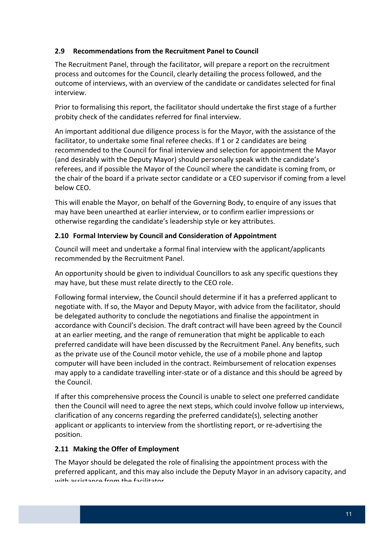## <span id="page-10-0"></span> **2.9 Recommendations from the Recruitment Panel to Council**

 The Recruitment Panel, through the facilitator, will prepare a report on the recruitment process and outcomes for the Council, clearly detailing the process followed, and the outcome of interviews, with an overview of the candidate or candidates selected for final interview.

 Prior to formalising this report, the facilitator should undertake the first stage of a further probity check of the candidates referred for final interview.

 An important additional due diligence process is for the Mayor, with the assistance of the facilitator, to undertake some final referee checks. If 1 or 2 candidates are being recommended to the Council for final interview and selection for appointment the Mayor (and desirably with the Deputy Mayor) should personally speak with the candidate's referees, and if possible the Mayor of the Council where the candidate is coming from, or the chair of the board if a private sector candidate or a CEO supervisor if coming from a level below CEO.

 This will enable the Mayor, on behalf of the Governing Body, to enquire of any issues that may have been unearthed at earlier interview, or to confirm earlier impressions or otherwise regarding the candidate's leadership style or key attributes.

## **2.10 Formal Interview by Council and Consideration of Appointment**

 Council will meet and undertake a formal final interview with the applicant/applicants recommended by the Recruitment Panel.

 An opportunity should be given to individual Councillors to ask any specific questions they may have, but these must relate directly to the CEO role.

 Following formal interview, the Council should determine if it has a preferred applicant to negotiate with. If so, the Mayor and Deputy Mayor, with advice from the facilitator, should be delegated authority to conclude the negotiations and finalise the appointment in accordance with Council's decision. The draft contract will have been agreed by the Council at an earlier meeting, and the range of remuneration that might be applicable to each preferred candidate will have been discussed by the Recruitment Panel. Any benefits, such as the private use of the Council motor vehicle, the use of a mobile phone and laptop computer will have been included in the contract. Reimbursement of relocation expenses may apply to a candidate travelling inter‐state or of a distance and this should be agreed by the Council.

 If after this comprehensive process the Council is unable to select one preferred candidate then the Council will need to agree the next steps, which could involve follow up interviews, clarification of any concerns regarding the preferred candidate(s), selecting another applicant or applicants to interview from the shortlisting report, or re‐advertising the position.

## **2.11 Making the Offer of Employment**

 The Mayor should be delegated the role of finalising the appointment process with the preferred applicant, and this may also include the Deputy Mayor in an advisory capacity, and with assistance from the facilitator.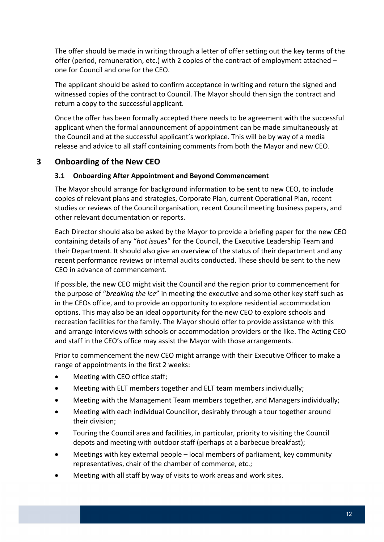<span id="page-11-0"></span> The offer should be made in writing through a letter of offer setting out the key terms of the offer (period, remuneration, etc.) with 2 copies of the contract of employment attached – one for Council and one for the CEO.

 The applicant should be asked to confirm acceptance in writing and return the signed and witnessed copies of the contract to Council. The Mayor should then sign the contract and return a copy to the successful applicant.

 Once the offer has been formally accepted there needs to be agreement with the successful applicant when the formal announcement of appointment can be made simultaneously at the Council and at the successful applicant's workplace. This will be by way of a media release and advice to all staff containing comments from both the Mayor and new CEO.

# **3 Onboarding of the New CEO**

## **3.1 Onboarding After Appointment and Beyond Commencement**

 The Mayor should arrange for background information to be sent to new CEO, to include copies of relevant plans and strategies, Corporate Plan, current Operational Plan, recent studies or reviews of the Council organisation, recent Council meeting business papers, and other relevant documentation or reports.

 Each Director should also be asked by the Mayor to provide a briefing paper for the new CEO containing details of any "*hot issues*" for the Council, the Executive Leadership Team and their Department. It should also give an overview of the status of their department and any recent performance reviews or internal audits conducted. These should be sent to the new CEO in advance of commencement.

 If possible, the new CEO might visit the Council and the region prior to commencement for  the purpose of "*breaking the ice*" in meeting the executive and some other key staff such as in the CEOs office, and to provide an opportunity to explore residential accommodation options. This may also be an ideal opportunity for the new CEO to explore schools and recreation facilities for the family. The Mayor should offer to provide assistance with this and arrange interviews with schools or accommodation providers or the like. The Acting CEO and staff in the CEO's office may assist the Mayor with those arrangements.

 Prior to commencement the new CEO might arrange with their Executive Officer to make a range of appointments in the first 2 weeks:

- Meeting with CEO office staff;
- Meeting with ELT members together and ELT team members individually;
- Meeting with the Management Team members together, and Managers individually;
- Meeting with each individual Councillor, desirably through a tour together around their division;
- Touring the Council area and facilities, in particular, priority to visiting the Council depots and meeting with outdoor staff (perhaps at a barbecue breakfast);
- Meetings with key external people local members of parliament, key community representatives, chair of the chamber of commerce, etc.;
- Meeting with all staff by way of visits to work areas and work sites.